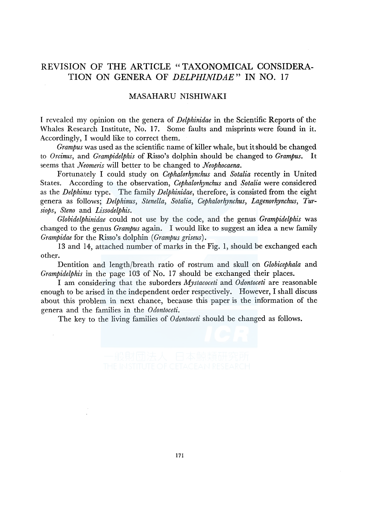## REVISION OF THE ARTICLE "TAXONOMICAL CONSIDERA-TION ON GENERA OF *DELPHINIDAE"* IN NO. 17

## MASAHARU NISHIWAKI

I revealed my opinion on the genera of *Delphinidae* in the Scientific Reports of the Whales Research Institute, No. 17. Some faults and misprints were found in it. Accordingly, I would like to correct them.

*Grampus* was used as the scientific name of killer whale, but it should be changed to *Orcinus,* and *Grampidelphis* of Risso's dolphin should be changed to *Grampus.* It seems that *Neomeris* will better to be changed to *Neophocaena.* 

Fortunately I could study on *Cephalorhynchus* and *Sotalia* recently in United States. According to the observation, *Cephalorhynchus* and *Sotalia* were considered as the *Delphinus* type. The family *Delphinidae,* therefore, is consisted from the eight genera as follows; *Delphinus, Stenella, Sotalia, Cephalorhynchus, Lagenorhynchus, Tursiops, Steno* and *Lissodelphis.* 

*Globidelphinidae* could not use by the code, and the genus *Grampidelphis* was changed to the genus *Grampus* again. I would like to suggest an idea a new family *Grampidae* for the Risso's dolphin *(Grampus griseus).* 

13 and 14, attached number of marks in the Fig. 1, should be exchanged each other.

Dentition and length/breath ratio of rostrum and skull on *Globicephala* and *Grampidelphis* in the page 103 of No. 17 should be exchanged their places.

I am considering that the suborders *Mystacoceti* and *Odontoceti* are reasonable enough to be arised in the independent order respectively. However, I shall discuss about this problem in next chance, because this paper is the information of the genera and the families in the *Odontoceti.* 

The key to the living families of *Odontoceti* should be changed as follows.